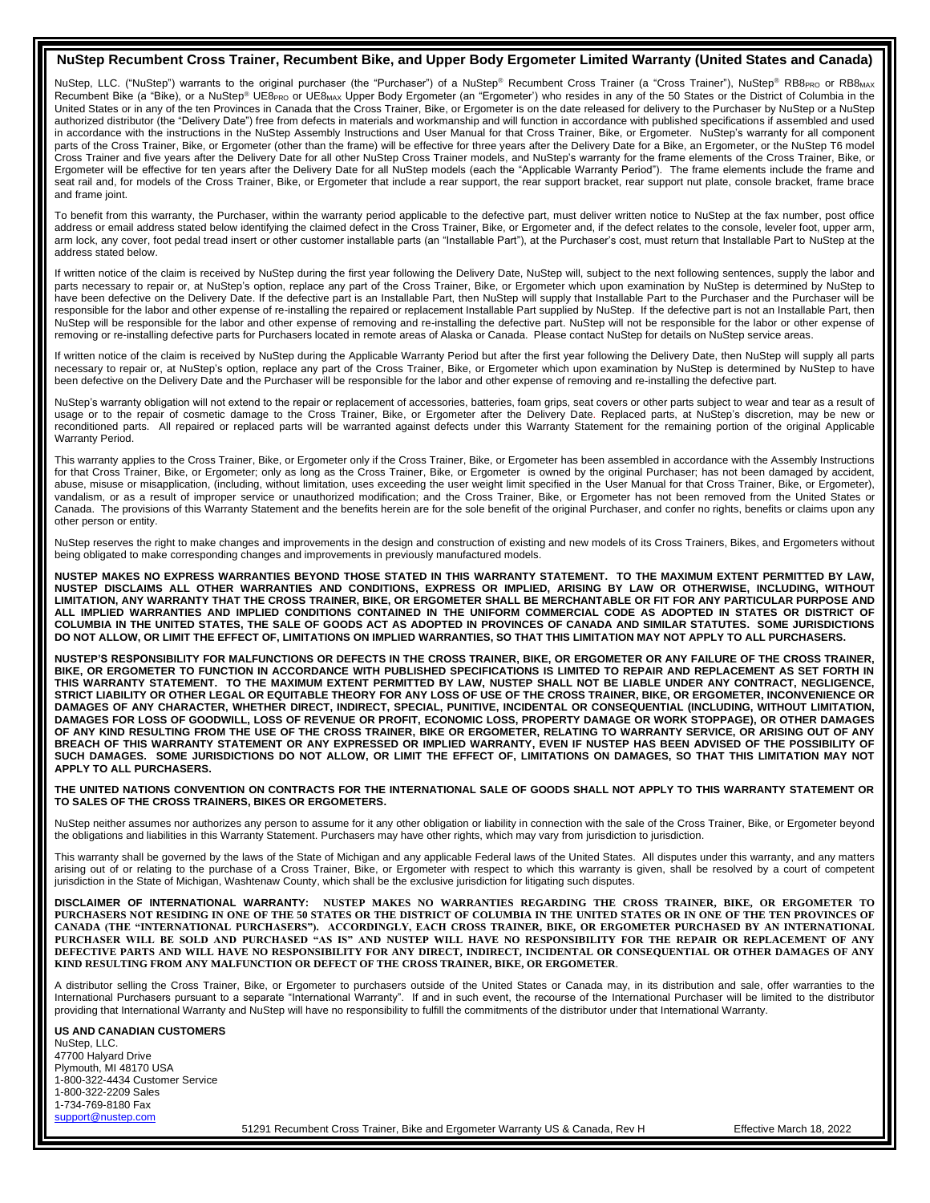## **NuStep Recumbent Cross Trainer, Recumbent Bike, and Upper Body Ergometer Limited Warranty (United States and Canada)**

NuStep, LLC. ("NuStep") warrants to the original purchaser (the "Purchaser") of a NuStep® Recumbent Cross Trainer (a "Cross Trainer"), NuStep® RB8PRo or RB8MAX Recumbent Bike (a "Bike), or a NuStep® UE8<sub>PRO</sub> or UE8<sub>MAX</sub> Upper Body Ergometer (an "Ergometer') who resides in any of the 50 States or the District of Columbia in the United States or in any of the ten Provinces in Canada that the Cross Trainer, Bike, or Ergometer is on the date released for delivery to the Purchaser by NuStep or a NuStep authorized distributor (the "Delivery Date") free from defects in materials and workmanship and will function in accordance with published specifications if assembled and used in accordance with the instructions in the NuStep Assembly Instructions and User Manual for that Cross Trainer, Bike, or Ergometer. NuStep's warranty for all component parts of the Cross Trainer, Bike, or Ergometer (other than the frame) will be effective for three years after the Delivery Date for a Bike, an Ergometer, or the NuStep T6 model Cross Trainer and five years after the Delivery Date for all other NuStep Cross Trainer models, and NuStep's warranty for the frame elements of the Cross Trainer, Bike, or Ergometer will be effective for ten years after the Delivery Date for all NuStep models (each the "Applicable Warranty Period"). The frame elements include the frame and seat rail and, for models of the Cross Trainer, Bike, or Ergometer that include a rear support, the rear support bracket, rear support nut plate, console bracket, frame brace and frame joint.

To benefit from this warranty, the Purchaser, within the warranty period applicable to the defective part, must deliver written notice to NuStep at the fax number, post office address or email address stated below identifying the claimed defect in the Cross Trainer, Bike, or Ergometer and, if the defect relates to the console, leveler foot, upper arm, arm lock, any cover, foot pedal tread insert or other customer installable parts (an "Installable Part"), at the Purchaser's cost, must return that Installable Part to NuStep at the address stated below.

If written notice of the claim is received by NuStep during the first year following the Delivery Date, NuStep will, subject to the next following sentences, supply the labor and parts necessary to repair or, at NuStep's option, replace any part of the Cross Trainer, Bike, or Ergometer which upon examination by NuStep is determined by NuStep to have been defective on the Delivery Date. If the defective part is an Installable Part, then NuStep will supply that Installable Part to the Purchaser and the Purchaser will be responsible for the labor and other expense of re-installing the repaired or replacement Installable Part supplied by NuStep. If the defective part is not an Installable Part, then NuStep will be responsible for the labor and other expense of removing and re-installing the defective part. NuStep will not be responsible for the labor or other expense of removing or re-installing defective parts for Purchasers located in remote areas of Alaska or Canada. Please contact NuStep for details on NuStep service areas.

If written notice of the claim is received by NuStep during the Applicable Warranty Period but after the first year following the Delivery Date, then NuStep will supply all parts necessary to repair or, at NuStep's option, replace any part of the Cross Trainer, Bike, or Ergometer which upon examination by NuStep is determined by NuStep to have been defective on the Delivery Date and the Purchaser will be responsible for the labor and other expense of removing and re-installing the defective part.

NuStep's warranty obligation will not extend to the repair or replacement of accessories, batteries, foam grips, seat covers or other parts subject to wear and tear as a result of usage or to the repair of cosmetic damage to the Cross Trainer, Bike, or Ergometer after the Delivery Date. Replaced parts, at NuStep's discretion, may be new or reconditioned parts. All repaired or replaced parts will be warranted against defects under this Warranty Statement for the remaining portion of the original Applicable Warranty Period.

This warranty applies to the Cross Trainer, Bike, or Ergometer only if the Cross Trainer, Bike, or Ergometer has been assembled in accordance with the Assembly Instructions for that Cross Trainer, Bike, or Ergometer; only as long as the Cross Trainer, Bike, or Ergometer is owned by the original Purchaser; has not been damaged by accident, abuse, misuse or misapplication, (including, without limitation, uses exceeding the user weight limit specified in the User Manual for that Cross Trainer, Bike, or Ergometer), vandalism, or as a result of improper service or unauthorized modification; and the Cross Trainer, Bike, or Ergometer has not been removed from the United States or Canada. The provisions of this Warranty Statement and the benefits herein are for the sole benefit of the original Purchaser, and confer no rights, benefits or claims upon any other person or entity.

NuStep reserves the right to make changes and improvements in the design and construction of existing and new models of its Cross Trainers, Bikes, and Ergometers without being obligated to make corresponding changes and improvements in previously manufactured models.

**NUSTEP MAKES NO EXPRESS WARRANTIES BEYOND THOSE STATED IN THIS WARRANTY STATEMENT. TO THE MAXIMUM EXTENT PERMITTED BY LAW, NUSTEP DISCLAIMS ALL OTHER WARRANTIES AND CONDITIONS, EXPRESS OR IMPLIED, ARISING BY LAW OR OTHERWISE, INCLUDING, WITHOUT LIMITATION, ANY WARRANTY THAT THE CROSS TRAINER, BIKE, OR ERGOMETER SHALL BE MERCHANTABLE OR FIT FOR ANY PARTICULAR PURPOSE AND ALL IMPLIED WARRANTIES AND IMPLIED CONDITIONS CONTAINED IN THE UNIFORM COMMERCIAL CODE AS ADOPTED IN STATES OR DISTRICT OF COLUMBIA IN THE UNITED STATES, THE SALE OF GOODS ACT AS ADOPTED IN PROVINCES OF CANADA AND SIMILAR STATUTES. SOME JURISDICTIONS DO NOT ALLOW, OR LIMIT THE EFFECT OF, LIMITATIONS ON IMPLIED WARRANTIES, SO THAT THIS LIMITATION MAY NOT APPLY TO ALL PURCHASERS.**

**NUSTEP'S RESPONSIBILITY FOR MALFUNCTIONS OR DEFECTS IN THE CROSS TRAINER, BIKE, OR ERGOMETER OR ANY FAILURE OF THE CROSS TRAINER, BIKE, OR ERGOMETER TO FUNCTION IN ACCORDANCE WITH PUBLISHED SPECIFICATIONS IS LIMITED TO REPAIR AND REPLACEMENT AS SET FORTH IN THIS WARRANTY STATEMENT. TO THE MAXIMUM EXTENT PERMITTED BY LAW, NUSTEP SHALL NOT BE LIABLE UNDER ANY CONTRACT, NEGLIGENCE, STRICT LIABILITY OR OTHER LEGAL OR EQUITABLE THEORY FOR ANY LOSS OF USE OF THE CROSS TRAINER, BIKE, OR ERGOMETER, INCONVENIENCE OR DAMAGES OF ANY CHARACTER, WHETHER DIRECT, INDIRECT, SPECIAL, PUNITIVE, INCIDENTAL OR CONSEQUENTIAL (INCLUDING, WITHOUT LIMITATION, DAMAGES FOR LOSS OF GOODWILL, LOSS OF REVENUE OR PROFIT, ECONOMIC LOSS, PROPERTY DAMAGE OR WORK STOPPAGE), OR OTHER DAMAGES OF ANY KIND RESULTING FROM THE USE OF THE CROSS TRAINER, BIKE OR ERGOMETER, RELATING TO WARRANTY SERVICE, OR ARISING OUT OF ANY BREACH OF THIS WARRANTY STATEMENT OR ANY EXPRESSED OR IMPLIED WARRANTY, EVEN IF NUSTEP HAS BEEN ADVISED OF THE POSSIBILITY OF SUCH DAMAGES. SOME JURISDICTIONS DO NOT ALLOW, OR LIMIT THE EFFECT OF, LIMITATIONS ON DAMAGES, SO THAT THIS LIMITATION MAY NOT APPLY TO ALL PURCHASERS.**

**THE UNITED NATIONS CONVENTION ON CONTRACTS FOR THE INTERNATIONAL SALE OF GOODS SHALL NOT APPLY TO THIS WARRANTY STATEMENT OR TO SALES OF THE CROSS TRAINERS, BIKES OR ERGOMETERS.**

NuStep neither assumes nor authorizes any person to assume for it any other obligation or liability in connection with the sale of the Cross Trainer, Bike, or Ergometer beyond the obligations and liabilities in this Warranty Statement. Purchasers may have other rights, which may vary from jurisdiction to jurisdiction.

This warranty shall be governed by the laws of the State of Michigan and any applicable Federal laws of the United States. All disputes under this warranty, and any matters arising out of or relating to the purchase of a Cross Trainer, Bike, or Ergometer with respect to which this warranty is given, shall be resolved by a court of competent jurisdiction in the State of Michigan, Washtenaw County, which shall be the exclusive jurisdiction for litigating such disputes.

**DISCLAIMER OF INTERNATIONAL WARRANTY: NUSTEP MAKES NO WARRANTIES REGARDING THE CROSS TRAINER, BIKE, OR ERGOMETER TO PURCHASERS NOT RESIDING IN ONE OF THE 50 STATES OR THE DISTRICT OF COLUMBIA IN THE UNITED STATES OR IN ONE OF THE TEN PROVINCES OF CANADA (THE "INTERNATIONAL PURCHASERS"). ACCORDINGLY, EACH CROSS TRAINER, BIKE, OR ERGOMETER PURCHASED BY AN INTERNATIONAL PURCHASER WILL BE SOLD AND PURCHASED "AS IS" AND NUSTEP WILL HAVE NO RESPONSIBILITY FOR THE REPAIR OR REPLACEMENT OF ANY DEFECTIVE PARTS AND WILL HAVE NO RESPONSIBILITY FOR ANY DIRECT, INDIRECT, INCIDENTAL OR CONSEQUENTIAL OR OTHER DAMAGES OF ANY KIND RESULTING FROM ANY MALFUNCTION OR DEFECT OF THE CROSS TRAINER, BIKE, OR ERGOMETER**.

A distributor selling the Cross Trainer, Bike, or Ergometer to purchasers outside of the United States or Canada may, in its distribution and sale, offer warranties to the International Purchasers pursuant to a separate "International Warranty". If and in such event, the recourse of the International Purchaser will be limited to the distributor providing that International Warranty and NuStep will have no responsibility to fulfill the commitments of the distributor under that International Warranty.

**US AND CANADIAN CUSTOMERS**  NuStep, LLC. 47700 Halyard Drive Plymouth, MI 48170 USA 1-800-322-4434 Customer Service 1-800-322-2209 Sales 1-734-769-8180 Fax [support@nustep.com](mailto:support@nustep.com)

51291 Recumbent Cross Trainer, Bike and Ergometer Warranty US & Canada, Rev H Effective March 18, 2022